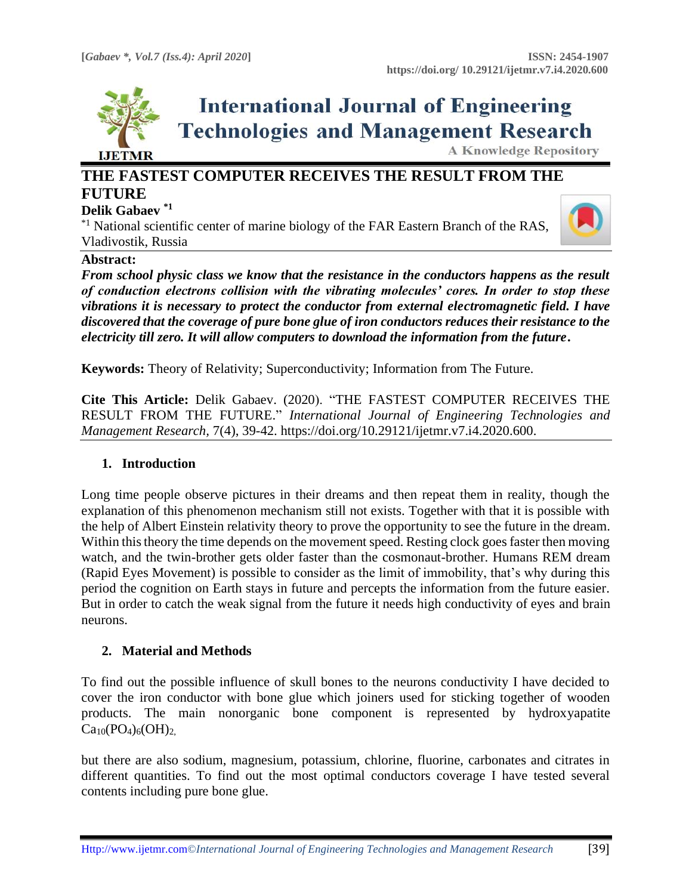

# **International Journal of Engineering Technologies and Management Research**

**A Knowledge Repository** 

# **THE FASTEST COMPUTER RECEIVES THE RESULT FROM THE FUTURE**

#### **Delik Gabaev \*1**

 $*1$  National scientific center of marine biology of the FAR Eastern Branch of the RAS, Vladivostik, Russia



#### **Abstract:**

*From school physic class we know that the resistance in the conductors happens as the result of conduction electrons collision with the vibrating molecules' cores. In order to stop these vibrations it is necessary to protect the conductor from external electromagnetic field. I have discovered that the coverage of pure bone glue of iron conductors reduces their resistance to the electricity till zero. It will allow computers to download the information from the future***.**

**Keywords:** Theory of Relativity; Superconductivity; Information from The Future*.*

**Cite This Article:** Delik Gabaev. (2020). "THE FASTEST COMPUTER RECEIVES THE RESULT FROM THE FUTURE." *International Journal of Engineering Technologies and Management Research,* 7(4), 39-42. https://doi.org/10.29121/ijetmr.v7.i4.2020.600.

#### **1. Introduction**

Long time people observe pictures in their dreams and then repeat them in reality, though the explanation of this phenomenon mechanism still not exists. Together with that it is possible with the help of Albert Einstein relativity theory to prove the opportunity to see the future in the dream. Within this theory the time depends on the movement speed. Resting clock goes faster then moving watch, and the twin-brother gets older faster than the cosmonaut-brother. Humans REM dream (Rapid Eyes Movement) is possible to consider as the limit of immobility, that's why during this period the cognition on Earth stays in future and percepts the information from the future easier. But in order to catch the weak signal from the future it needs high conductivity of eyes and brain neurons.

#### **2. Material and Methods**

To find out the possible influence of skull bones to the neurons conductivity I have decided to cover the iron conductor with bone glue which joiners used for sticking together of wooden products. The main nonorganic bone component is represented by hydroxyapatite  $Ca_{10}(PO_4)_6(OH)_2$ 

but there are also sodium, magnesium, potassium, chlorine, fluorine, carbonates and citrates in different quantities. To find out the most optimal conductors coverage I have tested several contents including pure bone glue.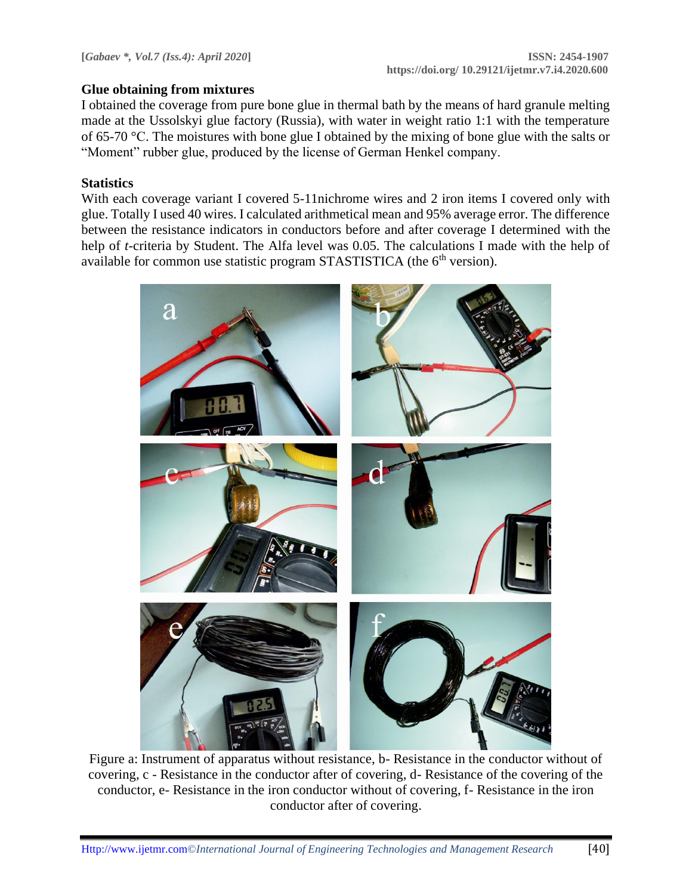#### **Glue obtaining from mixtures**

I obtained the coverage from pure bone glue in thermal bath by the means of hard granule melting made at the Ussolskyi glue factory (Russia), with water in weight ratio 1:1 with the temperature of 65-70 °С. The moistures with bone glue I obtained by the mixing of bone glue with the salts or "Moment" rubber glue, produced by the license of German Henkel company.

## **Statistics**

With each coverage variant I covered 5-11nichrome wires and 2 iron items I covered only with glue. Totally I used 40 wires. I calculated arithmetical mean and 95% average error. The difference between the resistance indicators in conductors before and after coverage I determined with the help of *t*-criteria by Student. The Alfa level was 0.05. The calculations I made with the help of available for common use statistic program STASTISTICA (the  $6<sup>th</sup>$  version).



Figure a: Instrument of apparatus without resistance, b- Resistance in the conductor without of covering, c - Resistance in the conductor after of covering, d- Resistance of the covering of the conductor, e- Resistance in the iron conductor without of covering, f- Resistance in the iron conductor after of covering.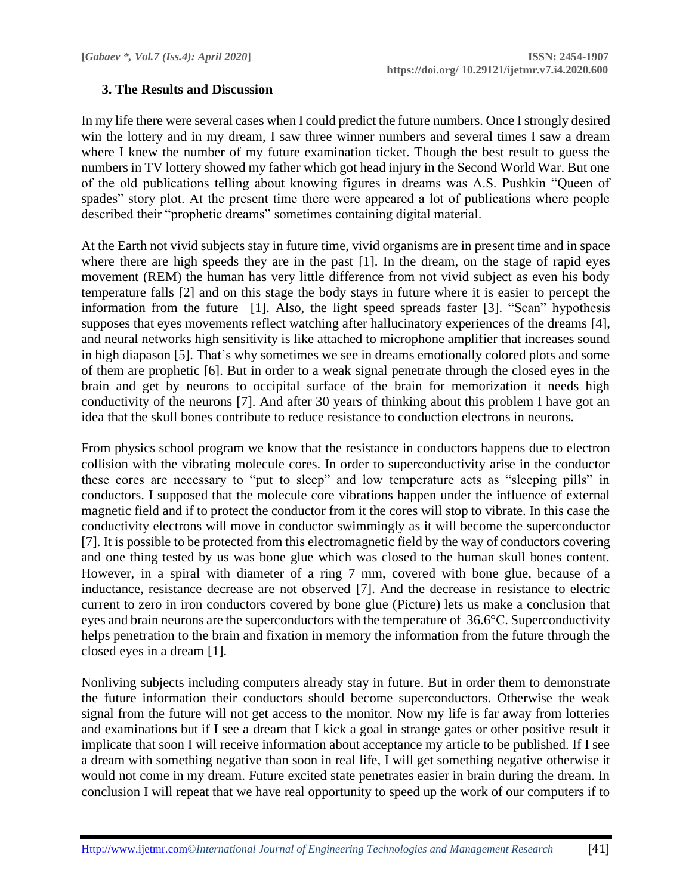## **3. The Results and Discussion**

In my life there were several cases when I could predict the future numbers. Once I strongly desired win the lottery and in my dream, I saw three winner numbers and several times I saw a dream where I knew the number of my future examination ticket. Though the best result to guess the numbers in TV lottery showed my father which got head injury in the Second World War. But one of the old publications telling about knowing figures in dreams was A.S. Pushkin "Queen of spades" story plot. At the present time there were appeared a lot of publications where people described their "prophetic dreams" sometimes containing digital material.

At the Earth not vivid subjects stay in future time, vivid organisms are in present time and in space where there are high speeds they are in the past [1]. In the dream, on the stage of rapid eyes movement (REM) the human has very little difference from not vivid subject as even his body temperature falls [2] and on this stage the body stays in future where it is easier to percept the information from the future [1]. Also, the light speed spreads faster [3]. "Scan" hypothesis supposes that eyes movements reflect watching after hallucinatory experiences of the dreams [4], and neural networks high sensitivity is like attached to microphone amplifier that increases sound in high diapason [5]. That's why sometimes we see in dreams emotionally colored plots and some of them are prophetic [6]. But in order to a weak signal penetrate through the closed eyes in the brain and get by neurons to occipital surface of the brain for memorization it needs high conductivity of the neurons [7]. And after 30 years of thinking about this problem I have got an idea that the skull bones contribute to reduce resistance to conduction electrons in neurons.

From physics school program we know that the resistance in conductors happens due to electron collision with the vibrating molecule cores. In order to superconductivity arise in the conductor these cores are necessary to "put to sleep" and low temperature acts as "sleeping pills" in conductors. I supposed that the molecule core vibrations happen under the influence of external magnetic field and if to protect the conductor from it the cores will stop to vibrate. In this case the conductivity electrons will move in conductor swimmingly as it will become the superconductor [7]. It is possible to be protected from this electromagnetic field by the way of conductors covering and one thing tested by us was bone glue which was closed to the human skull bones content. However, in a spiral with diameter of a ring 7 mm, covered with bone glue, because of a inductance, resistance decrease are not observed [7]. And the decrease in resistance to electric current to zero in iron conductors covered by bone glue (Picture) lets us make a conclusion that eyes and brain neurons are the superconductors with the temperature of 36.6°С. Superconductivity helps penetration to the brain and fixation in memory the information from the future through the closed eyes in a dream [1].

Nonliving subjects including computers already stay in future. But in order them to demonstrate the future information their conductors should become superconductors. Otherwise the weak signal from the future will not get access to the monitor. Now my life is far away from lotteries and examinations but if I see a dream that I kick a goal in strange gates or other positive result it implicate that soon I will receive information about acceptance my article to be published. If I see a dream with something negative than soon in real life, I will get something negative otherwise it would not come in my dream. Future excited state penetrates easier in brain during the dream. In conclusion I will repeat that we have real opportunity to speed up the work of our computers if to